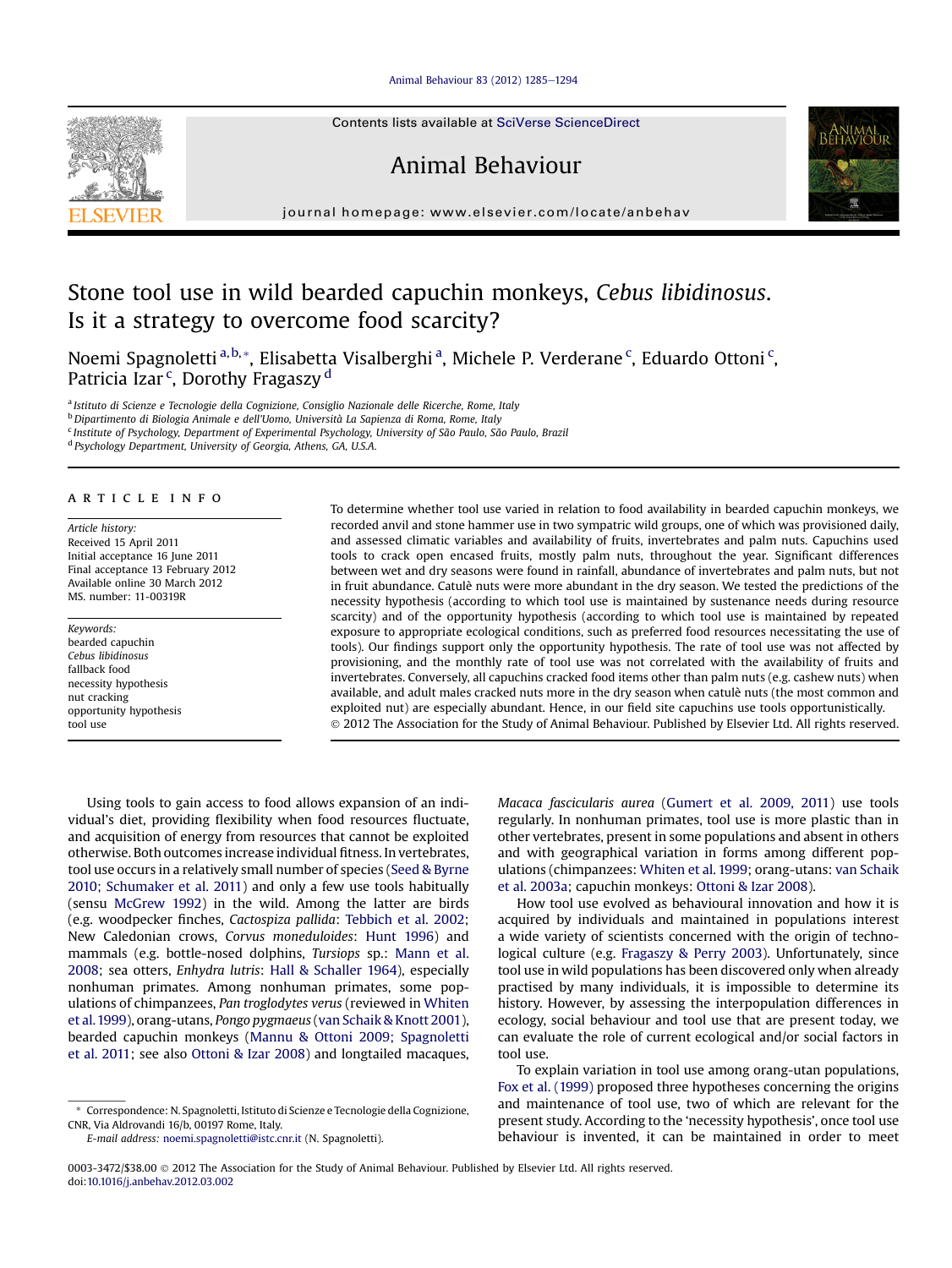[Animal Behaviour 83 \(2012\) 1285](http://dx.doi.org/10.1016/j.anbehav.2012.03.002)-[1294](http://dx.doi.org/10.1016/j.anbehav.2012.03.002)

Contents lists available at SciVerse ScienceDirect

# Animal Behaviour



journal homepage: [www.elsevier.com/locate/anbehav](http://www.elsevier.com/locate/anbehav)

# Stone tool use in wild bearded capuchin monkeys, Cebus libidinosus. Is it a strategy to overcome food scarcity?

Noemi Spagnoletti <sup>a,b,</sup>\*, Elisabetta Visalberghi <sup>a</sup>, Michele P. Verderane <sup>c</sup>, Eduardo Ottoni <sup>c</sup>, Patricia Izar<sup>c</sup>, Dorothy Fragaszy <sup>d</sup>

a Istituto di Scienze e Tecnologie della Cognizione, Consiglio Nazionale delle Ricerche, Rome, Italy

<sup>b</sup> Dipartimento di Biologia Animale e dell'Uomo, Università La Sapienza di Roma, Rome, Italy

<sup>c</sup> Institute of Psychology, Department of Experimental Psychology, University of São Paulo, São Paulo, Brazil

<sup>d</sup> Psychology Department, University of Georgia, Athens, GA, U.S.A.

# article info

Article history: Received 15 April 2011 Initial acceptance 16 June 2011 Final acceptance 13 February 2012 Available online 30 March 2012 MS. number: 11-00319R

Keywords: bearded capuchin Cebus libidinosus fallback food necessity hypothesis nut cracking opportunity hypothesis tool use

To determine whether tool use varied in relation to food availability in bearded capuchin monkeys, we recorded anvil and stone hammer use in two sympatric wild groups, one of which was provisioned daily, and assessed climatic variables and availability of fruits, invertebrates and palm nuts. Capuchins used tools to crack open encased fruits, mostly palm nuts, throughout the year. Significant differences between wet and dry seasons were found in rainfall, abundance of invertebrates and palm nuts, but not in fruit abundance. Catulè nuts were more abundant in the dry season. We tested the predictions of the necessity hypothesis (according to which tool use is maintained by sustenance needs during resource scarcity) and of the opportunity hypothesis (according to which tool use is maintained by repeated exposure to appropriate ecological conditions, such as preferred food resources necessitating the use of tools). Our findings support only the opportunity hypothesis. The rate of tool use was not affected by provisioning, and the monthly rate of tool use was not correlated with the availability of fruits and invertebrates. Conversely, all capuchins cracked food items other than palm nuts (e.g. cashew nuts) when available, and adult males cracked nuts more in the dry season when catulè nuts (the most common and exploited nut) are especially abundant. Hence, in our field site capuchins use tools opportunistically. 2012 The Association for the Study of Animal Behaviour. Published by Elsevier Ltd. All rights reserved.

Using tools to gain access to food allows expansion of an individual's diet, providing flexibility when food resources fluctuate, and acquisition of energy from resources that cannot be exploited otherwise. Both outcomes increase individual fitness. In vertebrates, tool use occurs in a relatively small number of species ([Seed & Byrne](#page-9-0) [2010; Schumaker et al. 2011\)](#page-9-0) and only a few use tools habitually (sensu [McGrew 1992](#page-8-0)) in the wild. Among the latter are birds (e.g. woodpecker finches, Cactospiza pallida: [Tebbich et al. 2002;](#page-9-0) New Caledonian crows, Corvus moneduloides: [Hunt 1996](#page-8-0)) and mammals (e.g. bottle-nosed dolphins, Tursiops sp.: [Mann et al.](#page-8-0) [2008;](#page-8-0) sea otters, Enhydra lutris: [Hall & Schaller 1964](#page-8-0)), especially nonhuman primates. Among nonhuman primates, some populations of chimpanzees, Pan troglodytes verus (reviewed in [Whiten](#page-9-0) [et al.1999](#page-9-0)), orang-utans, Pongo pygmaeus [\(van Schaik & Knott 2001\)](#page-9-0), bearded capuchin monkeys [\(Mannu & Ottoni 2009; Spagnoletti](#page-8-0) [et al. 2011;](#page-8-0) see also [Ottoni & Izar 2008](#page-8-0)) and longtailed macaques, Macaca fascicularis aurea [\(Gumert et al. 2009, 2011](#page-8-0)) use tools regularly. In nonhuman primates, tool use is more plastic than in other vertebrates, present in some populations and absent in others and with geographical variation in forms among different populations (chimpanzees: [Whiten et al. 1999;](#page-9-0) orang-utans: [van Schaik](#page-9-0) [et al. 2003a](#page-9-0); capuchin monkeys: [Ottoni & Izar 2008\)](#page-8-0).

How tool use evolved as behavioural innovation and how it is acquired by individuals and maintained in populations interest a wide variety of scientists concerned with the origin of technological culture (e.g. [Fragaszy & Perry 2003](#page-8-0)). Unfortunately, since tool use in wild populations has been discovered only when already practised by many individuals, it is impossible to determine its history. However, by assessing the interpopulation differences in ecology, social behaviour and tool use that are present today, we can evaluate the role of current ecological and/or social factors in tool use.

To explain variation in tool use among orang-utan populations, [Fox et al. \(1999\)](#page-8-0) proposed three hypotheses concerning the origins and maintenance of tool use, two of which are relevant for the present study. According to the 'necessity hypothesis', once tool use behaviour is invented, it can be maintained in order to meet

<sup>\*</sup> Correspondence: N. Spagnoletti, Istituto di Scienze e Tecnologie della Cognizione, CNR, Via Aldrovandi 16/b, 00197 Rome, Italy.

E-mail address: [noemi.spagnoletti@istc.cnr.it](mailto:noemi.spagnoletti@istc.cnr.it) (N. Spagnoletti).

<sup>0003-3472/\$38.00</sup> 2012 The Association for the Study of Animal Behaviour. Published by Elsevier Ltd. All rights reserved. doi[:10.1016/j.anbehav.2012.03.002](http://dx.doi.org/10.1016/j.anbehav.2012.03.002)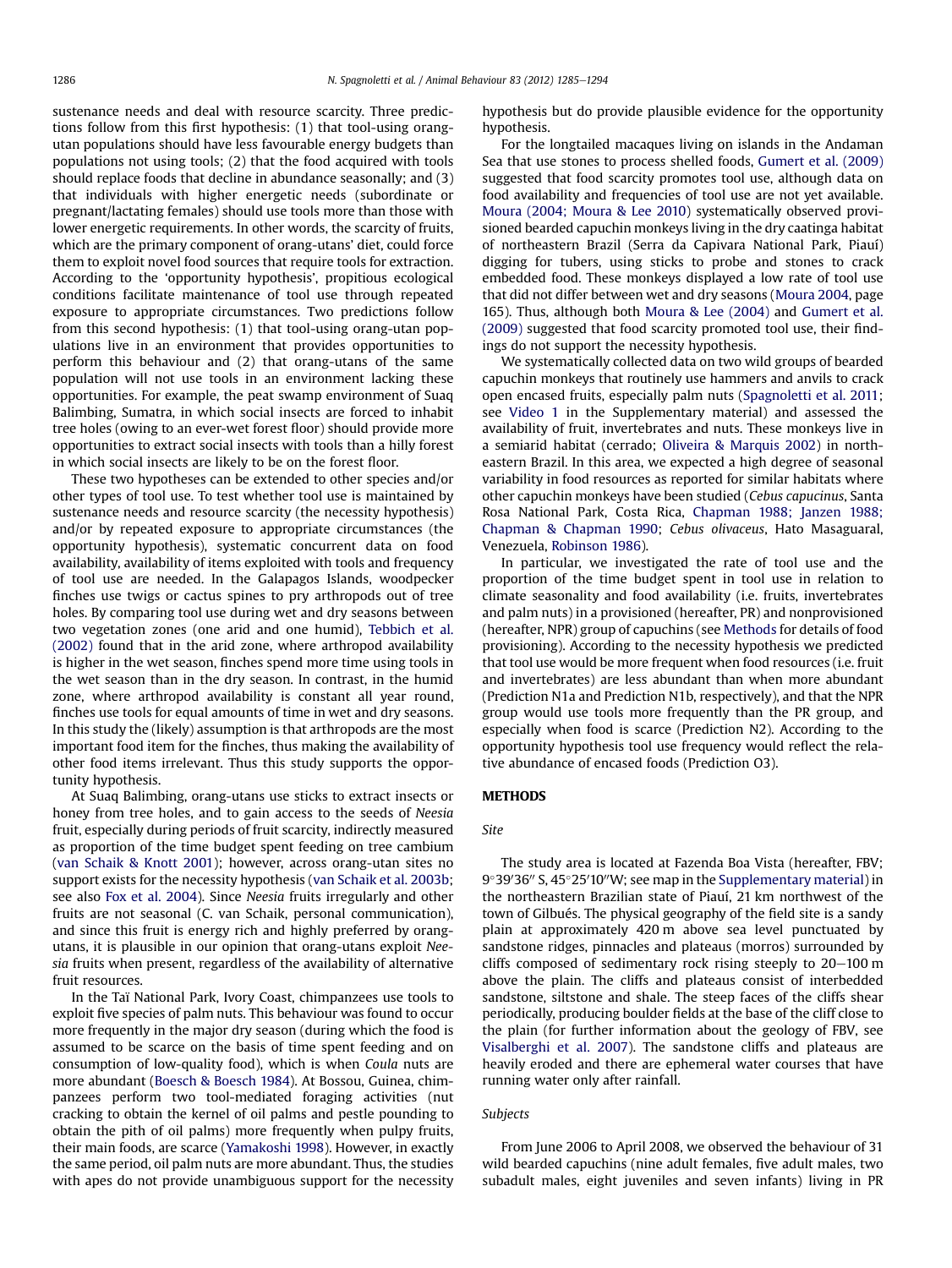sustenance needs and deal with resource scarcity. Three predictions follow from this first hypothesis: (1) that tool-using orangutan populations should have less favourable energy budgets than populations not using tools; (2) that the food acquired with tools should replace foods that decline in abundance seasonally; and (3) that individuals with higher energetic needs (subordinate or pregnant/lactating females) should use tools more than those with lower energetic requirements. In other words, the scarcity of fruits, which are the primary component of orang-utans' diet, could force them to exploit novel food sources that require tools for extraction. According to the 'opportunity hypothesis', propitious ecological conditions facilitate maintenance of tool use through repeated exposure to appropriate circumstances. Two predictions follow from this second hypothesis: (1) that tool-using orang-utan populations live in an environment that provides opportunities to perform this behaviour and (2) that orang-utans of the same population will not use tools in an environment lacking these opportunities. For example, the peat swamp environment of Suaq Balimbing, Sumatra, in which social insects are forced to inhabit tree holes (owing to an ever-wet forest floor) should provide more opportunities to extract social insects with tools than a hilly forest in which social insects are likely to be on the forest floor.

These two hypotheses can be extended to other species and/or other types of tool use. To test whether tool use is maintained by sustenance needs and resource scarcity (the necessity hypothesis) and/or by repeated exposure to appropriate circumstances (the opportunity hypothesis), systematic concurrent data on food availability, availability of items exploited with tools and frequency of tool use are needed. In the Galapagos Islands, woodpecker finches use twigs or cactus spines to pry arthropods out of tree holes. By comparing tool use during wet and dry seasons between two vegetation zones (one arid and one humid), [Tebbich et al.](#page-9-0) [\(2002\)](#page-9-0) found that in the arid zone, where arthropod availability is higher in the wet season, finches spend more time using tools in the wet season than in the dry season. In contrast, in the humid zone, where arthropod availability is constant all year round, finches use tools for equal amounts of time in wet and dry seasons. In this study the (likely) assumption is that arthropods are the most important food item for the finches, thus making the availability of other food items irrelevant. Thus this study supports the opportunity hypothesis.

At Suaq Balimbing, orang-utans use sticks to extract insects or honey from tree holes, and to gain access to the seeds of Neesia fruit, especially during periods of fruit scarcity, indirectly measured as proportion of the time budget spent feeding on tree cambium ([van Schaik & Knott 2001\)](#page-9-0); however, across orang-utan sites no support exists for the necessity hypothesis ([van Schaik et al. 2003b](#page-9-0); see also [Fox et al. 2004](#page-8-0)). Since Neesia fruits irregularly and other fruits are not seasonal (C. van Schaik, personal communication), and since this fruit is energy rich and highly preferred by orangutans, it is plausible in our opinion that orang-utans exploit Neesia fruits when present, regardless of the availability of alternative fruit resources.

In the Taï National Park, Ivory Coast, chimpanzees use tools to exploit five species of palm nuts. This behaviour was found to occur more frequently in the major dry season (during which the food is assumed to be scarce on the basis of time spent feeding and on consumption of low-quality food), which is when Coula nuts are more abundant ([Boesch & Boesch 1984](#page-8-0)). At Bossou, Guinea, chimpanzees perform two tool-mediated foraging activities (nut cracking to obtain the kernel of oil palms and pestle pounding to obtain the pith of oil palms) more frequently when pulpy fruits, their main foods, are scarce [\(Yamakoshi 1998\)](#page-9-0). However, in exactly the same period, oil palm nuts are more abundant. Thus, the studies with apes do not provide unambiguous support for the necessity hypothesis but do provide plausible evidence for the opportunity hypothesis.

For the longtailed macaques living on islands in the Andaman Sea that use stones to process shelled foods, [Gumert et al. \(2009\)](#page-8-0) suggested that food scarcity promotes tool use, although data on food availability and frequencies of tool use are not yet available. [Moura \(2004; Moura & Lee 2010](#page-8-0)) systematically observed provisioned bearded capuchin monkeys living in the dry caatinga habitat of northeastern Brazil (Serra da Capivara National Park, Piauí) digging for tubers, using sticks to probe and stones to crack embedded food. These monkeys displayed a low rate of tool use that did not differ between wet and dry seasons [\(Moura 2004](#page-8-0), page 165). Thus, although both [Moura & Lee \(2004\)](#page-8-0) and [Gumert et al.](#page-8-0) [\(2009\)](#page-8-0) suggested that food scarcity promoted tool use, their findings do not support the necessity hypothesis.

We systematically collected data on two wild groups of bearded capuchin monkeys that routinely use hammers and anvils to crack open encased fruits, especially palm nuts [\(Spagnoletti et al. 2011](#page-9-0); see Video 1 in the Supplementary material) and assessed the availability of fruit, invertebrates and nuts. These monkeys live in a semiarid habitat (cerrado; [Oliveira & Marquis 2002\)](#page-8-0) in northeastern Brazil. In this area, we expected a high degree of seasonal variability in food resources as reported for similar habitats where other capuchin monkeys have been studied (Cebus capucinus, Santa Rosa National Park, Costa Rica, [Chapman 1988; Janzen 1988;](#page-8-0) [Chapman & Chapman 1990;](#page-8-0) Cebus olivaceus, Hato Masaguaral, Venezuela, [Robinson 1986](#page-9-0)).

In particular, we investigated the rate of tool use and the proportion of the time budget spent in tool use in relation to climate seasonality and food availability (i.e. fruits, invertebrates and palm nuts) in a provisioned (hereafter, PR) and nonprovisioned (hereafter, NPR) group of capuchins (see Methods for details of food provisioning). According to the necessity hypothesis we predicted that tool use would be more frequent when food resources (i.e. fruit and invertebrates) are less abundant than when more abundant (Prediction N1a and Prediction N1b, respectively), and that the NPR group would use tools more frequently than the PR group, and especially when food is scarce (Prediction N2). According to the opportunity hypothesis tool use frequency would reflect the relative abundance of encased foods (Prediction O3).

## **METHODS**

# Site

The study area is located at Fazenda Boa Vista (hereafter, FBV; 9°39′36″ S, 45°25′10″W; see map in the [Supplementary material\)](#page-8-0) in the northeastern Brazilian state of Piauí, 21 km northwest of the town of Gilbués. The physical geography of the field site is a sandy plain at approximately 420 m above sea level punctuated by sandstone ridges, pinnacles and plateaus (morros) surrounded by cliffs composed of sedimentary rock rising steeply to  $20-100$  m above the plain. The cliffs and plateaus consist of interbedded sandstone, siltstone and shale. The steep faces of the cliffs shear periodically, producing boulder fields at the base of the cliff close to the plain (for further information about the geology of FBV, see [Visalberghi et al. 2007](#page-9-0)). The sandstone cliffs and plateaus are heavily eroded and there are ephemeral water courses that have running water only after rainfall.

# Subjects

From June 2006 to April 2008, we observed the behaviour of 31 wild bearded capuchins (nine adult females, five adult males, two subadult males, eight juveniles and seven infants) living in PR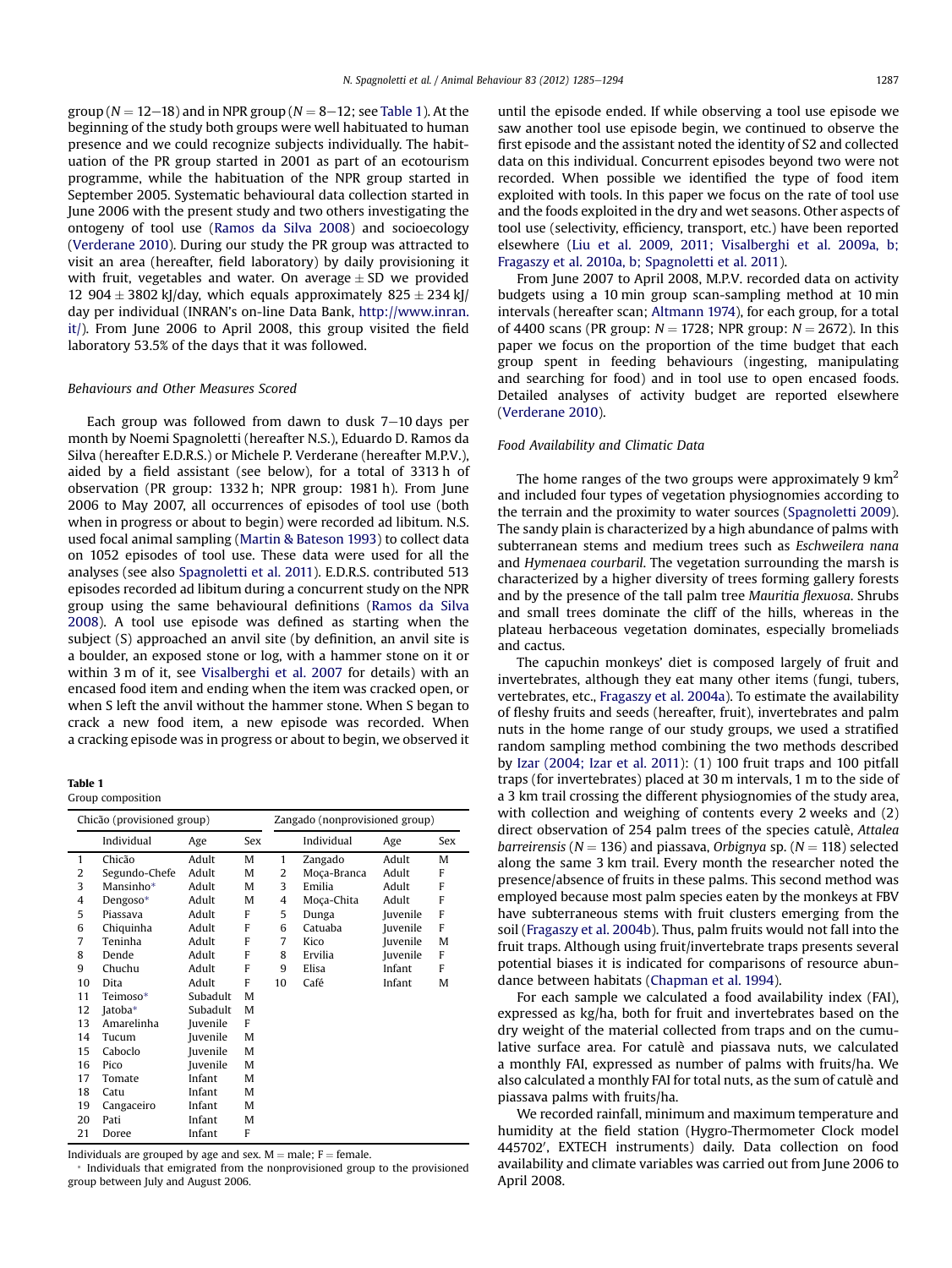<span id="page-2-0"></span>group ( $N = 12-18$ ) and in NPR group ( $N = 8-12$ ; see Table 1). At the beginning of the study both groups were well habituated to human presence and we could recognize subjects individually. The habituation of the PR group started in 2001 as part of an ecotourism programme, while the habituation of the NPR group started in September 2005. Systematic behavioural data collection started in June 2006 with the present study and two others investigating the ontogeny of tool use [\(Ramos da Silva 2008](#page-9-0)) and socioecology ([Verderane 2010](#page-9-0)). During our study the PR group was attracted to visit an area (hereafter, field laboratory) by daily provisioning it with fruit, vegetables and water. On average  $\pm$  SD we provided 12 904  $\pm$  3802 kJ/day, which equals approximately 825  $\pm$  234 kJ/ day per individual (INRAN's on-line Data Bank, [http://www.inran.](http://www.inran.it/) [it/\)](http://www.inran.it/). From June 2006 to April 2008, this group visited the field laboratory 53.5% of the days that it was followed.

## Behaviours and Other Measures Scored

Each group was followed from dawn to dusk  $7-10$  days per month by Noemi Spagnoletti (hereafter N.S.), Eduardo D. Ramos da Silva (hereafter E.D.R.S.) or Michele P. Verderane (hereafter M.P.V.), aided by a field assistant (see below), for a total of 3313 h of observation (PR group: 1332 h; NPR group: 1981 h). From June 2006 to May 2007, all occurrences of episodes of tool use (both when in progress or about to begin) were recorded ad libitum. N.S. used focal animal sampling [\(Martin & Bateson 1993\)](#page-8-0) to collect data on 1052 episodes of tool use. These data were used for all the analyses (see also [Spagnoletti et al. 2011](#page-9-0)). E.D.R.S. contributed 513 episodes recorded ad libitum during a concurrent study on the NPR group using the same behavioural definitions ([Ramos da Silva](#page-9-0) [2008\)](#page-9-0). A tool use episode was defined as starting when the subject (S) approached an anvil site (by definition, an anvil site is a boulder, an exposed stone or log, with a hammer stone on it or within 3 m of it, see [Visalberghi et al. 2007](#page-9-0) for details) with an encased food item and ending when the item was cracked open, or when S left the anvil without the hammer stone. When S began to crack a new food item, a new episode was recorded. When a cracking episode was in progress or about to begin, we observed it

Table 1

Group composition

| Chicão (provisioned group) |               |          |            |    | Zangado (nonprovisioned group) |          |     |
|----------------------------|---------------|----------|------------|----|--------------------------------|----------|-----|
|                            | Individual    | Age      | <b>Sex</b> |    | Individual                     | Age      | Sex |
| 1                          | Chicão        | Adult    | M          | 1  | Zangado                        | Adult    | М   |
| 2                          | Segundo-Chefe | Adult    | M          | 2  | Moça-Branca                    | Adult    | F   |
| 3                          | Mansinho*     | Adult    | M          | 3  | Emilia                         | Adult    | F   |
| $\overline{4}$             | Dengoso*      | Adult    | М          | 4  | Moça-Chita                     | Adult    | F   |
| 5                          | Piassava      | Adult    | F          | 5  | Dunga                          | Juvenile | F   |
| 6                          | Chiquinha     | Adult    | F          | 6  | Catuaba                        | Juvenile | F   |
| 7                          | Teninha       | Adult    | F          | 7  | Kico                           | Juvenile | M   |
| 8                          | Dende         | Adult    | F          | 8  | Ervilia                        | Juvenile | F   |
| 9                          | Chuchu        | Adult    | F          | 9  | Elisa                          | Infant   | F   |
| 10                         | Dita          | Adult    | F          | 10 | Café                           | Infant   | M   |
| 11                         | Teimoso*      | Subadult | М          |    |                                |          |     |
| 12                         | Jatoba*       | Subadult | М          |    |                                |          |     |
| 13                         | Amarelinha    | Juvenile | F          |    |                                |          |     |
| 14                         | Tucum         | Iuvenile | M          |    |                                |          |     |
| 15                         | Caboclo       | Juvenile | M          |    |                                |          |     |
| 16                         | Pico          | Juvenile | м          |    |                                |          |     |
| 17                         | Tomate        | Infant   | M          |    |                                |          |     |
| 18                         | Catu          | Infant   | M          |    |                                |          |     |
| 19                         | Cangaceiro    | Infant   | М          |    |                                |          |     |
| 20                         | Pati          | Infant   | M          |    |                                |          |     |
| 21                         | Doree         | Infant   | F          |    |                                |          |     |

Individuals are grouped by age and sex.  $M =$  male;  $F =$  female.

\* Individuals that emigrated from the nonprovisioned group to the provisioned group between July and August 2006.

until the episode ended. If while observing a tool use episode we saw another tool use episode begin, we continued to observe the first episode and the assistant noted the identity of S2 and collected data on this individual. Concurrent episodes beyond two were not recorded. When possible we identified the type of food item exploited with tools. In this paper we focus on the rate of tool use and the foods exploited in the dry and wet seasons. Other aspects of tool use (selectivity, efficiency, transport, etc.) have been reported elsewhere ([Liu et al. 2009, 2011; Visalberghi et al. 2009a, b;](#page-8-0) [Fragaszy et al. 2010a, b; Spagnoletti et al. 2011\)](#page-8-0).

From June 2007 to April 2008, M.P.V. recorded data on activity budgets using a 10 min group scan-sampling method at 10 min intervals (hereafter scan; [Altmann 1974](#page-8-0)), for each group, for a total of 4400 scans (PR group:  $N = 1728$ ; NPR group:  $N = 2672$ ). In this paper we focus on the proportion of the time budget that each group spent in feeding behaviours (ingesting, manipulating and searching for food) and in tool use to open encased foods. Detailed analyses of activity budget are reported elsewhere ([Verderane 2010](#page-9-0)).

## Food Availability and Climatic Data

The home ranges of the two groups were approximately  $9 \text{ km}^2$ and included four types of vegetation physiognomies according to the terrain and the proximity to water sources [\(Spagnoletti 2009\)](#page-9-0). The sandy plain is characterized by a high abundance of palms with subterranean stems and medium trees such as Eschweilera nana and Hymenaea courbaril. The vegetation surrounding the marsh is characterized by a higher diversity of trees forming gallery forests and by the presence of the tall palm tree Mauritia flexuosa. Shrubs and small trees dominate the cliff of the hills, whereas in the plateau herbaceous vegetation dominates, especially bromeliads and cactus.

The capuchin monkeys' diet is composed largely of fruit and invertebrates, although they eat many other items (fungi, tubers, vertebrates, etc., [Fragaszy et al. 2004a\)](#page-8-0). To estimate the availability of fleshy fruits and seeds (hereafter, fruit), invertebrates and palm nuts in the home range of our study groups, we used a stratified random sampling method combining the two methods described by [Izar \(2004; Izar et al. 2011\)](#page-8-0): (1) 100 fruit traps and 100 pitfall traps (for invertebrates) placed at 30 m intervals, 1 m to the side of a 3 km trail crossing the different physiognomies of the study area, with collection and weighing of contents every 2 weeks and (2) direct observation of 254 palm trees of the species catulè, Attalea barreirensis ( $N = 136$ ) and piassava, Orbignya sp. ( $N = 118$ ) selected along the same 3 km trail. Every month the researcher noted the presence/absence of fruits in these palms. This second method was employed because most palm species eaten by the monkeys at FBV have subterraneous stems with fruit clusters emerging from the soil ([Fragaszy et al. 2004b\)](#page-8-0). Thus, palm fruits would not fall into the fruit traps. Although using fruit/invertebrate traps presents several potential biases it is indicated for comparisons of resource abundance between habitats [\(Chapman et al. 1994](#page-8-0)).

For each sample we calculated a food availability index (FAI), expressed as kg/ha, both for fruit and invertebrates based on the dry weight of the material collected from traps and on the cumulative surface area. For catulè and piassava nuts, we calculated a monthly FAI, expressed as number of palms with fruits/ha. We also calculated a monthly FAI for total nuts, as the sum of catulè and piassava palms with fruits/ha.

We recorded rainfall, minimum and maximum temperature and humidity at the field station (Hygro-Thermometer Clock model 445702', EXTECH instruments) daily. Data collection on food availability and climate variables was carried out from June 2006 to April 2008.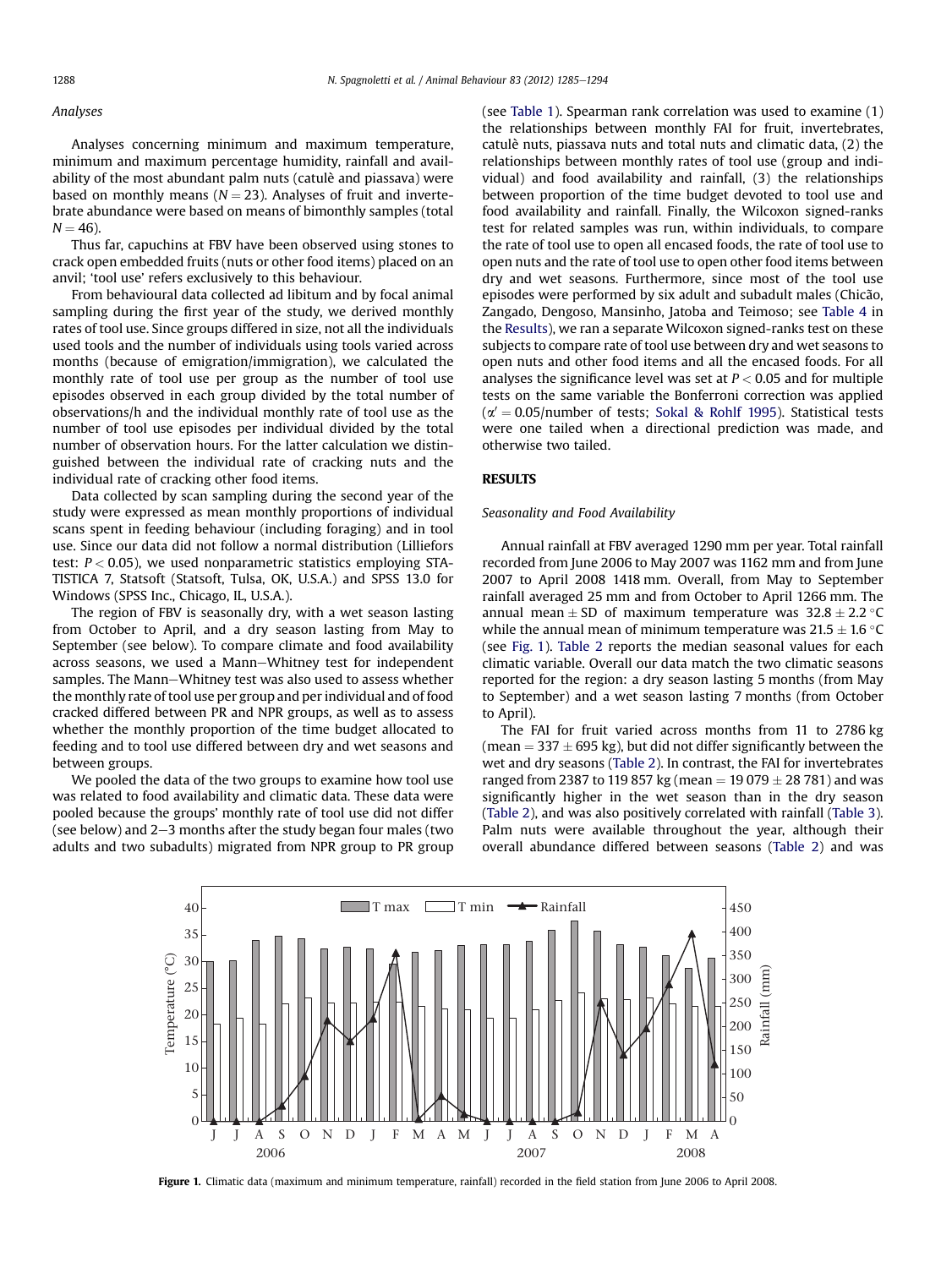## Analyses

Analyses concerning minimum and maximum temperature, minimum and maximum percentage humidity, rainfall and availability of the most abundant palm nuts (catulè and piassava) were based on monthly means ( $N = 23$ ). Analyses of fruit and invertebrate abundance were based on means of bimonthly samples (total  $N = 46$ ).

Thus far, capuchins at FBV have been observed using stones to crack open embedded fruits (nuts or other food items) placed on an anvil; 'tool use' refers exclusively to this behaviour.

From behavioural data collected ad libitum and by focal animal sampling during the first year of the study, we derived monthly rates of tool use. Since groups differed in size, not all the individuals used tools and the number of individuals using tools varied across months (because of emigration/immigration), we calculated the monthly rate of tool use per group as the number of tool use episodes observed in each group divided by the total number of observations/h and the individual monthly rate of tool use as the number of tool use episodes per individual divided by the total number of observation hours. For the latter calculation we distinguished between the individual rate of cracking nuts and the individual rate of cracking other food items.

Data collected by scan sampling during the second year of the study were expressed as mean monthly proportions of individual scans spent in feeding behaviour (including foraging) and in tool use. Since our data did not follow a normal distribution (Lilliefors test:  $P < 0.05$ ), we used nonparametric statistics employing STA-TISTICA 7, Statsoft (Statsoft, Tulsa, OK, U.S.A.) and SPSS 13.0 for Windows (SPSS Inc., Chicago, IL, U.S.A.).

The region of FBV is seasonally dry, with a wet season lasting from October to April, and a dry season lasting from May to September (see below). To compare climate and food availability across seasons, we used a Mann-Whitney test for independent samples. The Mann-Whitney test was also used to assess whether the monthly rate of tool use per group and per individual and of food cracked differed between PR and NPR groups, as well as to assess whether the monthly proportion of the time budget allocated to feeding and to tool use differed between dry and wet seasons and between groups.

We pooled the data of the two groups to examine how tool use was related to food availability and climatic data. These data were pooled because the groups' monthly rate of tool use did not differ (see below) and  $2-3$  months after the study began four males (two adults and two subadults) migrated from NPR group to PR group

(see [Table 1](#page-2-0)). Spearman rank correlation was used to examine (1) the relationships between monthly FAI for fruit, invertebrates, catulè nuts, piassava nuts and total nuts and climatic data, (2) the relationships between monthly rates of tool use (group and individual) and food availability and rainfall, (3) the relationships between proportion of the time budget devoted to tool use and food availability and rainfall. Finally, the Wilcoxon signed-ranks test for related samples was run, within individuals, to compare the rate of tool use to open all encased foods, the rate of tool use to open nuts and the rate of tool use to open other food items between dry and wet seasons. Furthermore, since most of the tool use episodes were performed by six adult and subadult males (Chicão, Zangado, Dengoso, Mansinho, Jatoba and Teimoso; see [Table 4](#page-5-0) in the Results), we ran a separate Wilcoxon signed-ranks test on these subjects to compare rate of tool use between dry and wet seasons to open nuts and other food items and all the encased foods. For all analyses the significance level was set at  $P < 0.05$  and for multiple tests on the same variable the Bonferroni correction was applied  $\alpha' = 0.05$ /number of tests; [Sokal & Rohlf 1995](#page-9-0)). Statistical tests were one tailed when a directional prediction was made, and otherwise two tailed.

# **RESULTS**

## Seasonality and Food Availability

Annual rainfall at FBV averaged 1290 mm per year. Total rainfall recorded from June 2006 to May 2007 was 1162 mm and from June 2007 to April 2008 1418 mm. Overall, from May to September rainfall averaged 25 mm and from October to April 1266 mm. The annual mean  $\pm$  SD of maximum temperature was 32.8  $\pm$  2.2 °C while the annual mean of minimum temperature was  $21.5 \pm 1.6$  °C (see Fig. 1). [Table 2](#page-4-0) reports the median seasonal values for each climatic variable. Overall our data match the two climatic seasons reported for the region: a dry season lasting 5 months (from May to September) and a wet season lasting 7 months (from October to April).

The FAI for fruit varied across months from 11 to 2786 kg (mean  $=$  337  $\pm$  695 kg), but did not differ significantly between the wet and dry seasons ([Table 2](#page-4-0)). In contrast, the FAI for invertebrates ranged from 2387 to 119 857 kg (mean = 19 079  $\pm$  28 781) and was significantly higher in the wet season than in the dry season ([Table 2\)](#page-4-0), and was also positively correlated with rainfall ([Table 3\)](#page-4-0). Palm nuts were available throughout the year, although their overall abundance differed between seasons ([Table 2\)](#page-4-0) and was



Figure 1. Climatic data (maximum and minimum temperature, rainfall) recorded in the field station from June 2006 to April 2008.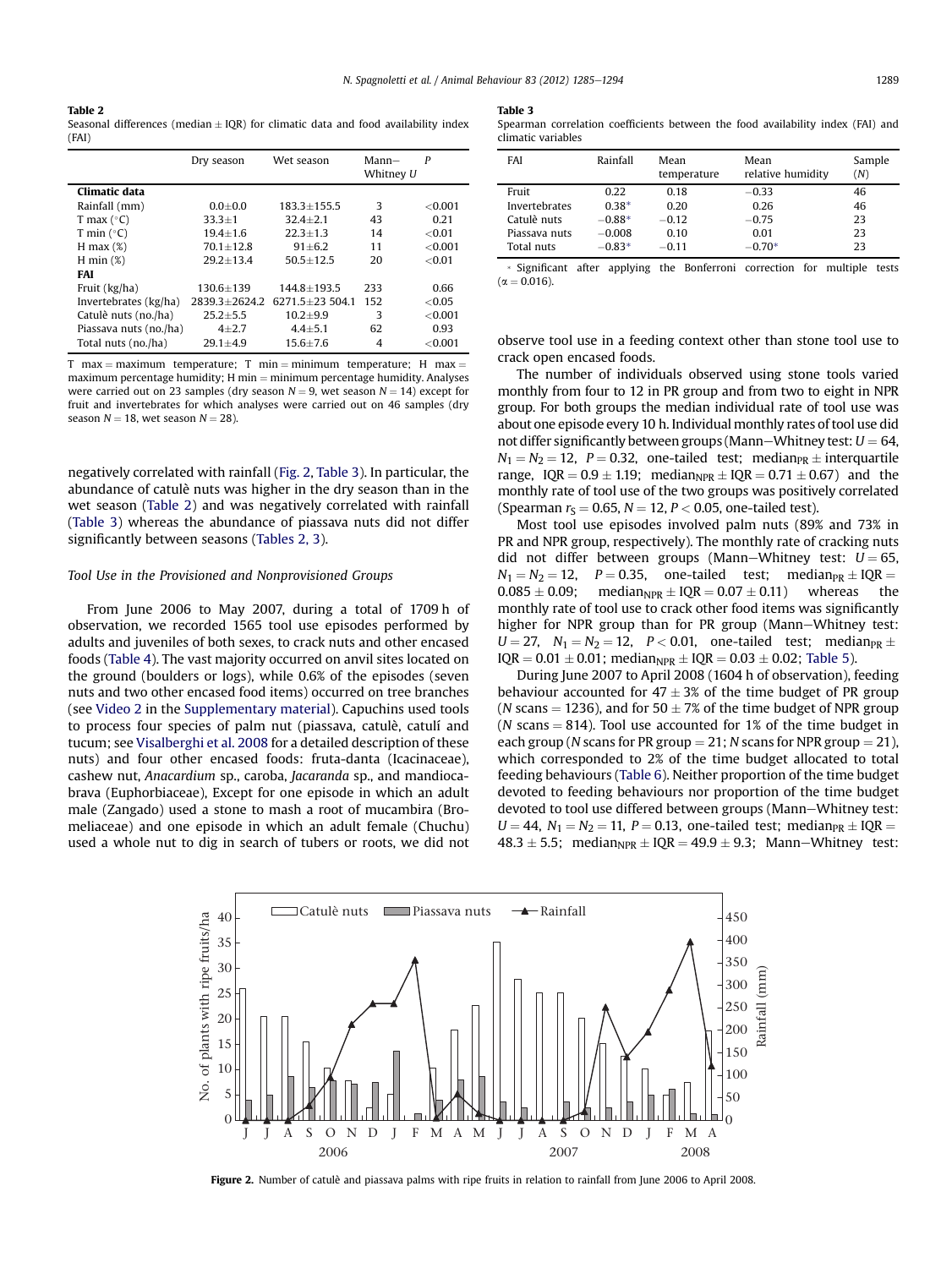<span id="page-4-0"></span>Table 2 Seasonal differences (median  $\pm$  IOR) for climatic data and food availability index (FAI)

|                        | Dry season        | Wet season          | $Mann-$<br>Whitney U | P          |
|------------------------|-------------------|---------------------|----------------------|------------|
| Climatic data          |                   |                     |                      |            |
| Rainfall (mm)          | $0.0 + 0.0$       | $183.3 + 155.5$     | 3                    | $<$ 0.001  |
| T max $(^{\circ}C)$    | $33.3 + 1$        | $32.4 + 2.1$        | 43                   | 0.21       |
| T min $(^{\circ}C)$    | $19.4 + 1.6$      | $22.3 + 1.3$        | 14                   | < 0.01     |
| H max $(\%)$           | $70.1 + 12.8$     | $91 + 6.2$          | 11                   | < 0.001    |
| H min $(\%)$           | $29.2 + 13.4$     | $50.5 + 12.5$       | 20                   | ${<}0.01$  |
| <b>FAI</b>             |                   |                     |                      |            |
| Fruit (kg/ha)          | $130.6 + 139$     | $144.8 + 193.5$     | 233                  | 0.66       |
| Invertebrates (kg/ha)  | $2839.3 + 2624.2$ | $6271.5 + 23.504.1$ | 152                  | <0.05      |
| Catulè nuts (no./ha)   | $25.2 + 5.5$      | $10.2 + 9.9$        | 3                    | < 0.001    |
| Piassava nuts (no./ha) | $4 + 2.7$         | $4.4 + 5.1$         | 62                   | 0.93       |
| Total nuts (no./ha)    | $29.1 + 4.9$      | $15.6 + 7.6$        | 4                    | ${<}0.001$ |

T max = maximum temperature; T min = minimum temperature; H max = maximum percentage humidity;  $H \text{ min} = \text{minimum}$  percentage humidity. Analyses were carried out on 23 samples (dry season  $N = 9$ , wet season  $N = 14$ ) except for fruit and invertebrates for which analyses were carried out on 46 samples (dry season  $N = 18$ , wet season  $N = 28$ ).

negatively correlated with rainfall (Fig. 2, Table 3). In particular, the abundance of catulè nuts was higher in the dry season than in the wet season (Table 2) and was negatively correlated with rainfall (Table 3) whereas the abundance of piassava nuts did not differ significantly between seasons (Tables 2, 3).

## Tool Use in the Provisioned and Nonprovisioned Groups

From June 2006 to May 2007, during a total of 1709 h of observation, we recorded 1565 tool use episodes performed by adults and juveniles of both sexes, to crack nuts and other encased foods [\(Table 4\)](#page-5-0). The vast majority occurred on anvil sites located on the ground (boulders or logs), while 0.6% of the episodes (seven nuts and two other encased food items) occurred on tree branches (see Video 2 in the [Supplementary material\)](#page-8-0). Capuchins used tools to process four species of palm nut (piassava, catulè, catulí and tucum; see [Visalberghi et al. 2008](#page-9-0) for a detailed description of these nuts) and four other encased foods: fruta-danta (Icacinaceae), cashew nut, Anacardium sp., caroba, Jacaranda sp., and mandiocabrava (Euphorbiaceae), Except for one episode in which an adult male (Zangado) used a stone to mash a root of mucambira (Bromeliaceae) and one episode in which an adult female (Chuchu) used a whole nut to dig in search of tubers or roots, we did not

#### Table 3

Spearman correlation coefficients between the food availability index (FAI) and climatic variables

| FAI                  | Rainfall | Mean<br>temperature | Mean<br>relative humidity | Sample<br>(N) |
|----------------------|----------|---------------------|---------------------------|---------------|
| Fruit                | 0.22     | 0.18                | $-0.33$                   | 46            |
| <b>Invertebrates</b> | $0.38*$  | 0.20                | 0.26                      | 46            |
| Catulè nuts          | $-0.88*$ | $-0.12$             | $-0.75$                   | 23            |
| Piassava nuts        | $-0.008$ | 0.10                | 0.01                      | 23            |
| Total nuts           | $-0.83*$ | $-0.11$             | $-0.70*$                  | 23            |

\* Significant after applying the Bonferroni correction for multiple tests  $(\alpha = 0.016)$ .

observe tool use in a feeding context other than stone tool use to crack open encased foods.

The number of individuals observed using stone tools varied monthly from four to 12 in PR group and from two to eight in NPR group. For both groups the median individual rate of tool use was about one episode every 10 h. Individual monthly rates of tool use did not differ significantly between groups (Mann–Whitney test:  $U = 64$ ,  $N_1 = N_2 = 12$ ,  $P = 0.32$ , one-tailed test; median<sub>PR</sub>  $\pm$  interquartile range,  $IQR = 0.9 \pm 1.19$ ; median<sub>NPR</sub>  $\pm$  IQR = 0.71  $\pm$  0.67) and the monthly rate of tool use of the two groups was positively correlated (Spearman  $r_S = 0.65$ ,  $N = 12$ ,  $P < 0.05$ , one-tailed test).

Most tool use episodes involved palm nuts (89% and 73% in PR and NPR group, respectively). The monthly rate of cracking nuts did not differ between groups (Mann-Whitney test:  $U = 65$ ,  $N_1 = N_2 = 12$ ,  $P = 0.35$ , one-tailed test; median<sub>PR</sub>  $\pm$  IQR = 0.085  $\pm$  0.09; median<sub>NPR</sub>  $\pm$  IOR = 0.07  $\pm$  0.11) whereas the median $_{NPR}$   $\pm$  IQR = 0.07  $\pm$  0.11) whereas the monthly rate of tool use to crack other food items was significantly higher for NPR group than for PR group (Mann-Whitney test:  $U = 27$ ,  $N_1 = N_2 = 12$ ,  $P < 0.01$ , one-tailed test; median<sub>PR</sub>  $\pm$  $IQR = 0.01 \pm 0.01$ ; median<sub>NPR</sub>  $\pm$  IQR = 0.03  $\pm$  0.02; [Table 5\)](#page-5-0).

During June 2007 to April 2008 (1604 h of observation), feeding behaviour accounted for  $47 \pm 3\%$  of the time budget of PR group (*N* scans = 1236), and for  $50 \pm 7\%$  of the time budget of NPR group ( $N$  scans = 814). Tool use accounted for 1% of the time budget in each group (N scans for PR group  $= 21$ ; N scans for NPR group  $= 21$ ), which corresponded to 2% of the time budget allocated to total feeding behaviours ([Table 6](#page-5-0)). Neither proportion of the time budget devoted to feeding behaviours nor proportion of the time budget devoted to tool use differed between groups (Mann-Whitney test:  $U = 44$ ,  $N_1 = N_2 = 11$ ,  $P = 0.13$ , one-tailed test; median<sub>PR</sub>  $\pm$  IQR =  $48.3 \pm 5.5$ ; median<sub>NPR</sub>  $\pm$  IQR = 49.9  $\pm$  9.3; Mann-Whitney test:



Figure 2. Number of catulè and piassava palms with ripe fruits in relation to rainfall from June 2006 to April 2008.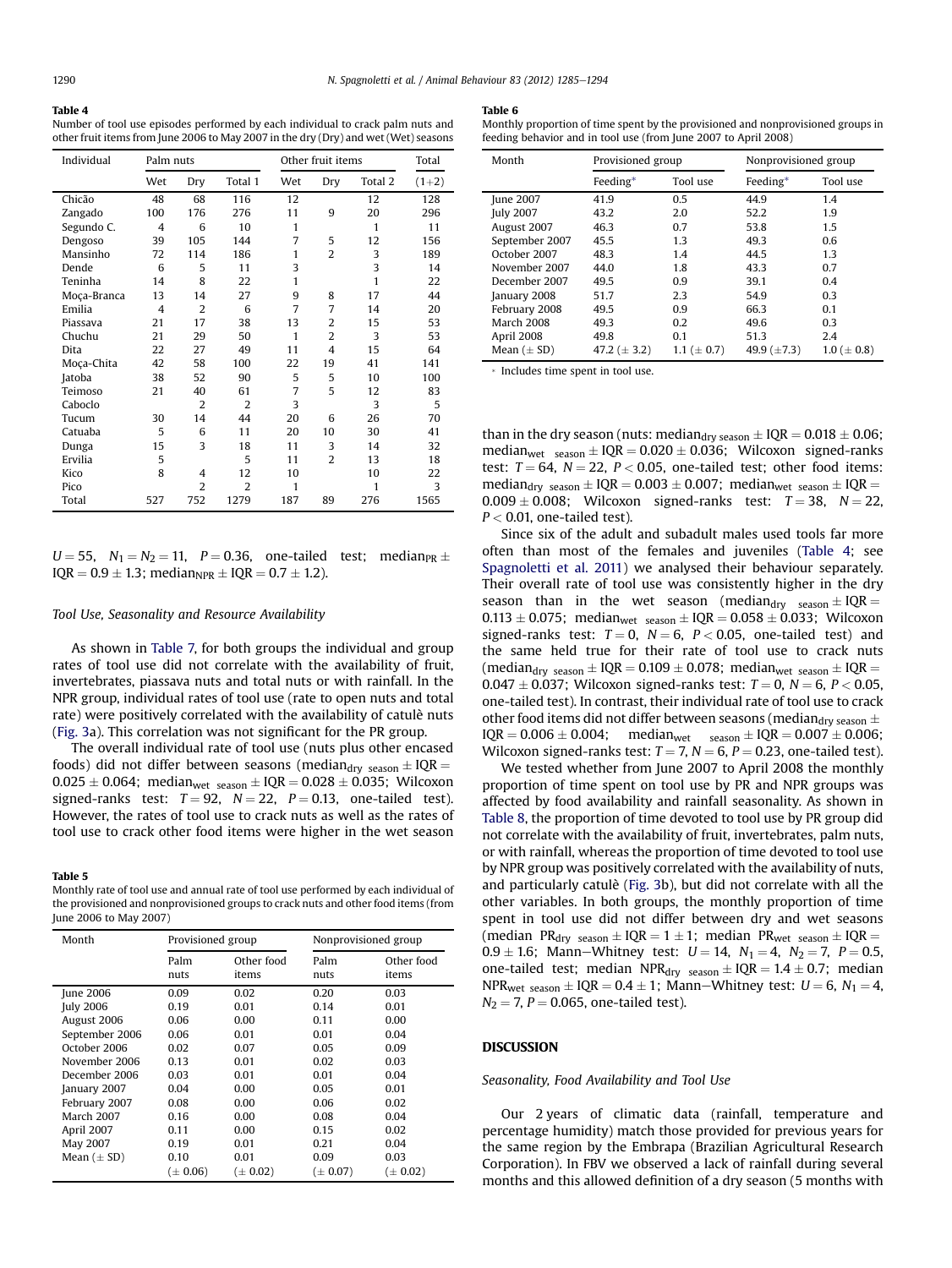#### <span id="page-5-0"></span>Table 4

Number of tool use episodes performed by each individual to crack palm nuts and other fruit items from June 2006 to May 2007 in the dry (Dry) and wet (Wet) seasons

| Individual  | Palm nuts |                |         | Other fruit items |                |              |         |
|-------------|-----------|----------------|---------|-------------------|----------------|--------------|---------|
|             | Wet       | Dry            | Total 1 | Wet               | Dry            | Total 2      | $(1+2)$ |
| Chicão      | 48        | 68             | 116     | 12                |                | 12           | 128     |
| Zangado     | 100       | 176            | 276     | 11                | 9              | 20           | 296     |
| Segundo C.  | 4         | 6              | 10      | 1                 |                | 1            | 11      |
| Dengoso     | 39        | 105            | 144     | 7                 | 5              | 12           | 156     |
| Mansinho    | 72        | 114            | 186     | 1                 | $\overline{2}$ | 3            | 189     |
| Dende       | 6         | 5              | 11      | 3                 |                | 3            | 14      |
| Teninha     | 14        | 8              | 22      | $\mathbf{1}$      |                | $\mathbf{1}$ | 22      |
| Moça-Branca | 13        | 14             | 27      | 9                 | 8              | 17           | 44      |
| Emilia      | 4         | $\overline{2}$ | 6       | $\overline{7}$    | 7              | 14           | 20      |
| Piassava    | 21        | 17             | 38      | 13                | 2              | 15           | 53      |
| Chuchu      | 21        | 29             | 50      | $\mathbf{1}$      | $\overline{2}$ | 3            | 53      |
| Dita        | 22        | 27             | 49      | 11                | $\overline{4}$ | 15           | 64      |
| Moca-Chita  | 42        | 58             | 100     | 22                | 19             | 41           | 141     |
| Jatoba      | 38        | 52             | 90      | 5                 | 5              | 10           | 100     |
| Teimoso     | 21        | 40             | 61      | 7                 | 5              | 12           | 83      |
| Caboclo     |           | $\overline{2}$ | 2       | 3                 |                | 3            | 5       |
| Tucum       | 30        | 14             | 44      | 20                | 6              | 26           | 70      |
| Catuaba     | 5         | 6              | 11      | 20                | 10             | 30           | 41      |
| Dunga       | 15        | 3              | 18      | 11                | 3              | 14           | 32      |
| Ervilia     | 5         |                | 5       | 11                | $\overline{2}$ | 13           | 18      |
| Kico        | 8         | 4              | 12      | 10                |                | 10           | 22      |
| Pico        |           | 2              | 2       | $\mathbf{1}$      |                | 1            | 3       |
| Total       | 527       | 752            | 1279    | 187               | 89             | 276          | 1565    |

 $U = 55$ ,  $N_1 = N_2 = 11$ ,  $P = 0.36$ , one-tailed test; median<sub>PR</sub>  $\pm$  $IQR = 0.9 \pm 1.3$ ; median<sub>NPR</sub>  $\pm$  IQR = 0.7  $\pm$  1.2).

## Tool Use, Seasonality and Resource Availability

As shown in [Table 7,](#page-6-0) for both groups the individual and group rates of tool use did not correlate with the availability of fruit, invertebrates, piassava nuts and total nuts or with rainfall. In the NPR group, individual rates of tool use (rate to open nuts and total rate) were positively correlated with the availability of catulè nuts ([Fig. 3a](#page-6-0)). This correlation was not significant for the PR group.

The overall individual rate of tool use (nuts plus other encased foods) did not differ between seasons (median<sub>dry season</sub>  $\pm$  IQR =  $0.025 \pm 0.064$ ; median<sub>wet season</sub>  $\pm$  IQR = 0.028  $\pm$  0.035; Wilcoxon signed-ranks test:  $T = 92$ ,  $N = 22$ ,  $P = 0.13$ , one-tailed test). However, the rates of tool use to crack nuts as well as the rates of tool use to crack other food items were higher in the wet season

### Table 5

Monthly rate of tool use and annual rate of tool use performed by each individual of the provisioned and nonprovisioned groups to crack nuts and other food items (from June 2006 to May 2007)

| Month            | Provisioned group |                     | Nonprovisioned group |                     |
|------------------|-------------------|---------------------|----------------------|---------------------|
|                  | Palm<br>nuts      | Other food<br>items | Palm<br>nuts         | Other food<br>items |
| <b>June 2006</b> | 0.09              | 0.02                | 0.20                 | 0.03                |
| <b>July 2006</b> | 0.19              | 0.01                | 0.14                 | 0.01                |
| August 2006      | 0.06              | 0.00                | 0.11                 | 0.00                |
| September 2006   | 0.06              | 0.01                | 0.01                 | 0.04                |
| October 2006     | 0.02              | 0.07                | 0.05                 | 0.09                |
| November 2006    | 0.13              | 0.01                | 0.02                 | 0.03                |
| December 2006    | 0.03              | 0.01                | 0.01                 | 0.04                |
| January 2007     | 0.04              | 0.00                | 0.05                 | 0.01                |
| February 2007    | 0.08              | 0.00                | 0.06                 | 0.02                |
| March 2007       | 0.16              | 0.00                | 0.08                 | 0.04                |
| April 2007       | 0.11              | 0.00                | 0.15                 | 0.02                |
| May 2007         | 0.19              | 0.01                | 0.21                 | 0.04                |
| Mean $(\pm SD)$  | 0.10              | 0.01                | 0.09                 | 0.03                |
|                  | ( 0.06)           | $(\pm 0.02)$        | $(\pm 0.07)$         | $(\pm 0.02)$        |

#### Table 6

Monthly proportion of time spent by the provisioned and nonprovisioned groups in feeding behavior and in tool use (from June 2007 to April 2008)

| Month             | Provisioned group |                 | Nonprovisioned group |                 |
|-------------------|-------------------|-----------------|----------------------|-----------------|
|                   | Feeding*          | Tool use        | Feeding*             | Tool use        |
| June 2007         | 41.9              | 0.5             | 44.9                 | 1.4             |
| <b>July 2007</b>  | 43.2              | 2.0             | 52.2                 | 1.9             |
| August 2007       | 46.3              | 0.7             | 53.8                 | 1.5             |
| September 2007    | 45.5              | 1.3             | 49.3                 | 0.6             |
| October 2007      | 48.3              | 1.4             | 44.5                 | 1.3             |
| November 2007     | 44.0              | 1.8             | 43.3                 | 0.7             |
| December 2007     | 49.5              | 0.9             | 39.1                 | 0.4             |
| January 2008      | 51.7              | 2.3             | 54.9                 | 0.3             |
| February 2008     | 49.5              | 0.9             | 66.3                 | 0.1             |
| <b>March 2008</b> | 49.3              | 0.2             | 49.6                 | 0.3             |
| April 2008        | 49.8              | 0.1             | 51.3                 | 2.4             |
| Mean $(\pm SD)$   | 47.2 $(\pm 3.2)$  | $1.1~(\pm 0.7)$ | 49.9 $(\pm 7.3)$     | $1.0 (\pm 0.8)$ |

\* Includes time spent in tool use.

than in the dry season (nuts: median<sub>dry season</sub>  $\pm$  IQR = 0.018  $\pm$  0.06; median<sub>wet season</sub>  $\pm$  IQR = 0.020  $\pm$  0.036; Wilcoxon signed-ranks test:  $T = 64$ ,  $N = 22$ ,  $P < 0.05$ , one-tailed test; other food items: median<sub>dry season</sub>  $\pm$  IQR = 0.003  $\pm$  0.007; median<sub>wet season</sub>  $\pm$  IQR =  $0.009 \pm 0.008$ ; Wilcoxon signed-ranks test:  $T = 38$ ,  $N = 22$ ,  $P < 0.01$ , one-tailed test).

Since six of the adult and subadult males used tools far more often than most of the females and juveniles (Table 4; see [Spagnoletti et al. 2011\)](#page-9-0) we analysed their behaviour separately. Their overall rate of tool use was consistently higher in the dry season than in the wet season (median $_{\text{dry}}$  season  $\pm$  IQR =  $0.113 \pm 0.075$ ; median<sub>wet season</sub>  $\pm$  IQR = 0.058  $\pm$  0.033; Wilcoxon signed-ranks test:  $T = 0$ ,  $N = 6$ ,  $P < 0.05$ , one-tailed test) and the same held true for their rate of tool use to crack nuts (median<sub>dry season</sub>  $\pm$  IQR = 0.109  $\pm$  0.078; median<sub>wet season</sub>  $\pm$  IQR = 0.047  $\pm$  0.037; Wilcoxon signed-ranks test: T = 0, N = 6, P < 0.05, one-tailed test). In contrast, their individual rate of tool use to crack other food items did not differ between seasons (median<sub>dry season</sub>  $\pm$  $IQR = 0.006 \pm 0.004$ ; median<sub>wet season</sub>  $\pm$  IQR = 0.007  $\pm$  0.006; Wilcoxon signed-ranks test:  $T = 7$ ,  $N = 6$ ,  $P = 0.23$ , one-tailed test).

We tested whether from June 2007 to April 2008 the monthly proportion of time spent on tool use by PR and NPR groups was affected by food availability and rainfall seasonality. As shown in [Table 8,](#page-7-0) the proportion of time devoted to tool use by PR group did not correlate with the availability of fruit, invertebrates, palm nuts, or with rainfall, whereas the proportion of time devoted to tool use by NPR group was positively correlated with the availability of nuts, and particularly catulè [\(Fig. 3b](#page-6-0)), but did not correlate with all the other variables. In both groups, the monthly proportion of time spent in tool use did not differ between dry and wet seasons (median PR<sub>dry season</sub>  $\pm$  IQR = 1  $\pm$  1; median PR<sub>wet season</sub>  $\pm$  IQR =  $0.9 \pm 1.6$ ; Mann-Whitney test:  $U = 14$ ,  $N_1 = 4$ ,  $N_2 = 7$ ,  $P = 0.5$ , one-tailed test; median  $NPR_{dry\_season} \pm IQR = 1.4 \pm 0.7$ ; median  $NPR<sub>wet season</sub> ± IQR = 0.4 ± 1$ ; Mann-Whitney test:  $U = 6$ ,  $N<sub>1</sub> = 4$ ,  $N_2 = 7$ ,  $P = 0.065$ , one-tailed test).

## **DISCUSSION**

## Seasonality, Food Availability and Tool Use

Our 2 years of climatic data (rainfall, temperature and percentage humidity) match those provided for previous years for the same region by the Embrapa (Brazilian Agricultural Research Corporation). In FBV we observed a lack of rainfall during several months and this allowed definition of a dry season (5 months with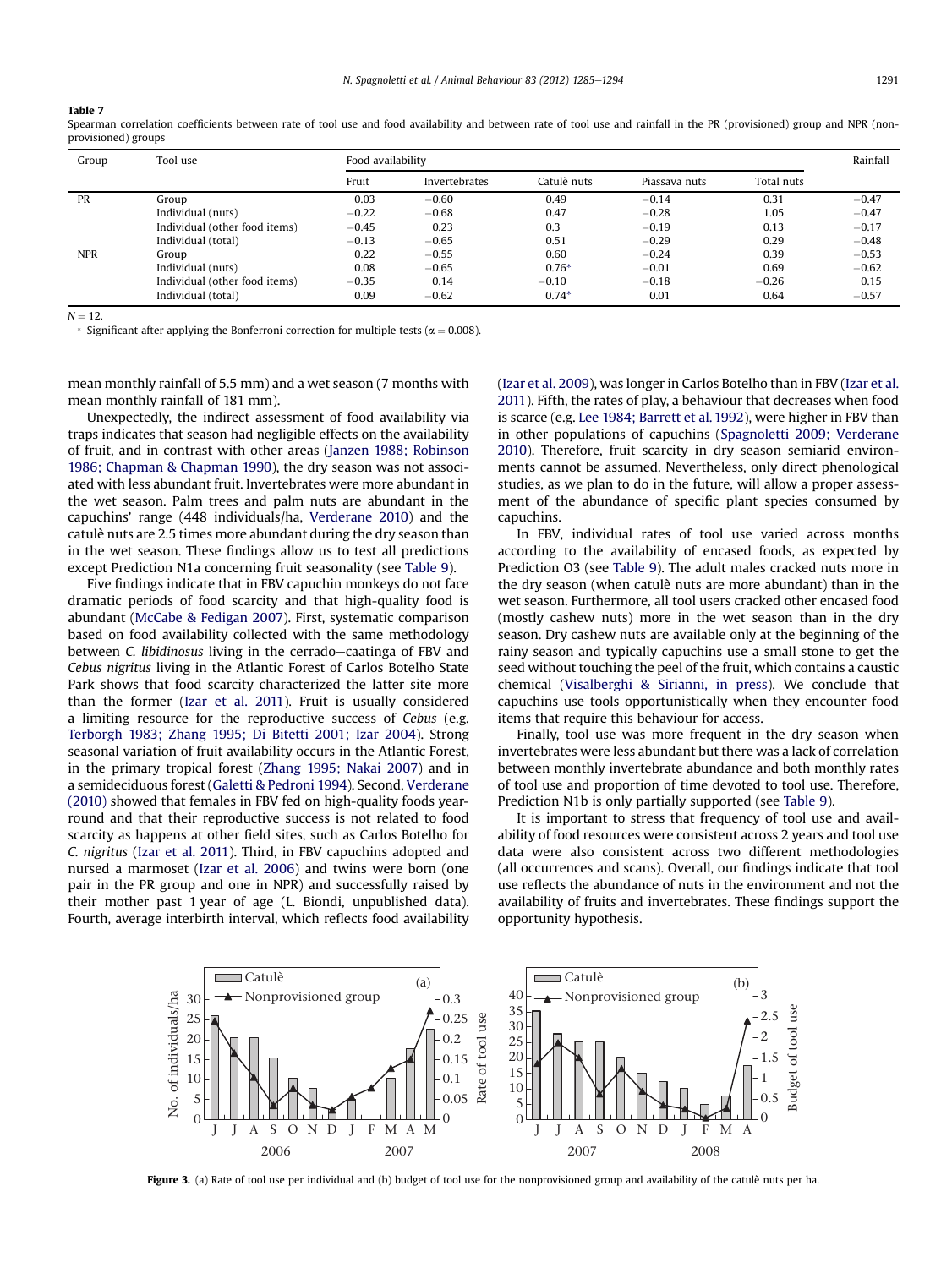## <span id="page-6-0"></span>Table 7

Spearman correlation coefficients between rate of tool use and food availability and between rate of tool use and rainfall in the PR (provisioned) group and NPR (nonprovisioned) groups

| Group      | Tool use                      |         | Food availability |             |               |            |         |  |  |
|------------|-------------------------------|---------|-------------------|-------------|---------------|------------|---------|--|--|
|            |                               | Fruit   | Invertebrates     | Catulè nuts | Piassava nuts | Total nuts |         |  |  |
| PR         | Group                         | 0.03    | $-0.60$           | 0.49        | $-0.14$       | 0.31       | $-0.47$ |  |  |
|            | Individual (nuts)             | $-0.22$ | $-0.68$           | 0.47        | $-0.28$       | 1.05       | $-0.47$ |  |  |
|            | Individual (other food items) | $-0.45$ | 0.23              | 0.3         | $-0.19$       | 0.13       | $-0.17$ |  |  |
|            | Individual (total)            | $-0.13$ | $-0.65$           | 0.51        | $-0.29$       | 0.29       | $-0.48$ |  |  |
| <b>NPR</b> | Group                         | 0.22    | $-0.55$           | 0.60        | $-0.24$       | 0.39       | $-0.53$ |  |  |
|            | Individual (nuts)             | 0.08    | $-0.65$           | $0.76*$     | $-0.01$       | 0.69       | $-0.62$ |  |  |
|            | Individual (other food items) | $-0.35$ | 0.14              | $-0.10$     | $-0.18$       | $-0.26$    | 0.15    |  |  |
|            | Individual (total)            | 0.09    | $-0.62$           | $0.74*$     | 0.01          | 0.64       | $-0.57$ |  |  |

 $N = 12.$ 

Significant after applying the Bonferroni correction for multiple tests ( $\alpha = 0.008$ ).

mean monthly rainfall of 5.5 mm) and a wet season (7 months with mean monthly rainfall of 181 mm).

Unexpectedly, the indirect assessment of food availability via traps indicates that season had negligible effects on the availability of fruit, and in contrast with other areas ([Janzen 1988; Robinson](#page-9-0) [1986; Chapman & Chapman 1990\)](#page-9-0), the dry season was not associated with less abundant fruit. Invertebrates were more abundant in the wet season. Palm trees and palm nuts are abundant in the capuchins' range (448 individuals/ha, [Verderane 2010](#page-9-0)) and the catulè nuts are 2.5 times more abundant during the dry season than in the wet season. These findings allow us to test all predictions except Prediction N1a concerning fruit seasonality (see [Table 9\)](#page-7-0).

Five findings indicate that in FBV capuchin monkeys do not face dramatic periods of food scarcity and that high-quality food is abundant [\(McCabe & Fedigan 2007](#page-8-0)). First, systematic comparison based on food availability collected with the same methodology between C. libidinosus living in the cerrado–caatinga of FBV and Cebus nigritus living in the Atlantic Forest of Carlos Botelho State Park shows that food scarcity characterized the latter site more than the former [\(Izar et al. 2011\)](#page-8-0). Fruit is usually considered a limiting resource for the reproductive success of Cebus (e.g. [Terborgh 1983; Zhang 1995; Di Bitetti 2001; Izar 2004](#page-9-0)). Strong seasonal variation of fruit availability occurs in the Atlantic Forest, in the primary tropical forest ([Zhang 1995; Nakai 2007](#page-9-0)) and in a semideciduous forest [\(Galetti & Pedroni 1994](#page-8-0)). Second, [Verderane](#page-9-0) [\(2010\)](#page-9-0) showed that females in FBV fed on high-quality foods yearround and that their reproductive success is not related to food scarcity as happens at other field sites, such as Carlos Botelho for C. nigritus [\(Izar et al. 2011](#page-8-0)). Third, in FBV capuchins adopted and nursed a marmoset ([Izar et al. 2006](#page-8-0)) and twins were born (one pair in the PR group and one in NPR) and successfully raised by their mother past 1 year of age (L. Biondi, unpublished data). Fourth, average interbirth interval, which reflects food availability ([Izar et al. 2009\)](#page-8-0), was longer in Carlos Botelho than in FBV [\(Izar et al.](#page-8-0) [2011](#page-8-0)). Fifth, the rates of play, a behaviour that decreases when food is scarce (e.g. [Lee 1984; Barrett et al. 1992\)](#page-8-0), were higher in FBV than in other populations of capuchins [\(Spagnoletti 2009; Verderane](#page-9-0) [2010\)](#page-9-0). Therefore, fruit scarcity in dry season semiarid environments cannot be assumed. Nevertheless, only direct phenological studies, as we plan to do in the future, will allow a proper assessment of the abundance of specific plant species consumed by capuchins.

In FBV, individual rates of tool use varied across months according to the availability of encased foods, as expected by Prediction O3 (see [Table 9\)](#page-7-0). The adult males cracked nuts more in the dry season (when catulè nuts are more abundant) than in the wet season. Furthermore, all tool users cracked other encased food (mostly cashew nuts) more in the wet season than in the dry season. Dry cashew nuts are available only at the beginning of the rainy season and typically capuchins use a small stone to get the seed without touching the peel of the fruit, which contains a caustic chemical (Visalberghi [& Sirianni, in press](#page-9-0)). We conclude that capuchins use tools opportunistically when they encounter food items that require this behaviour for access.

Finally, tool use was more frequent in the dry season when invertebrates were less abundant but there was a lack of correlation between monthly invertebrate abundance and both monthly rates of tool use and proportion of time devoted to tool use. Therefore, Prediction N1b is only partially supported (see [Table 9\)](#page-7-0).

It is important to stress that frequency of tool use and availability of food resources were consistent across 2 years and tool use data were also consistent across two different methodologies (all occurrences and scans). Overall, our findings indicate that tool use reflects the abundance of nuts in the environment and not the availability of fruits and invertebrates. These findings support the opportunity hypothesis.

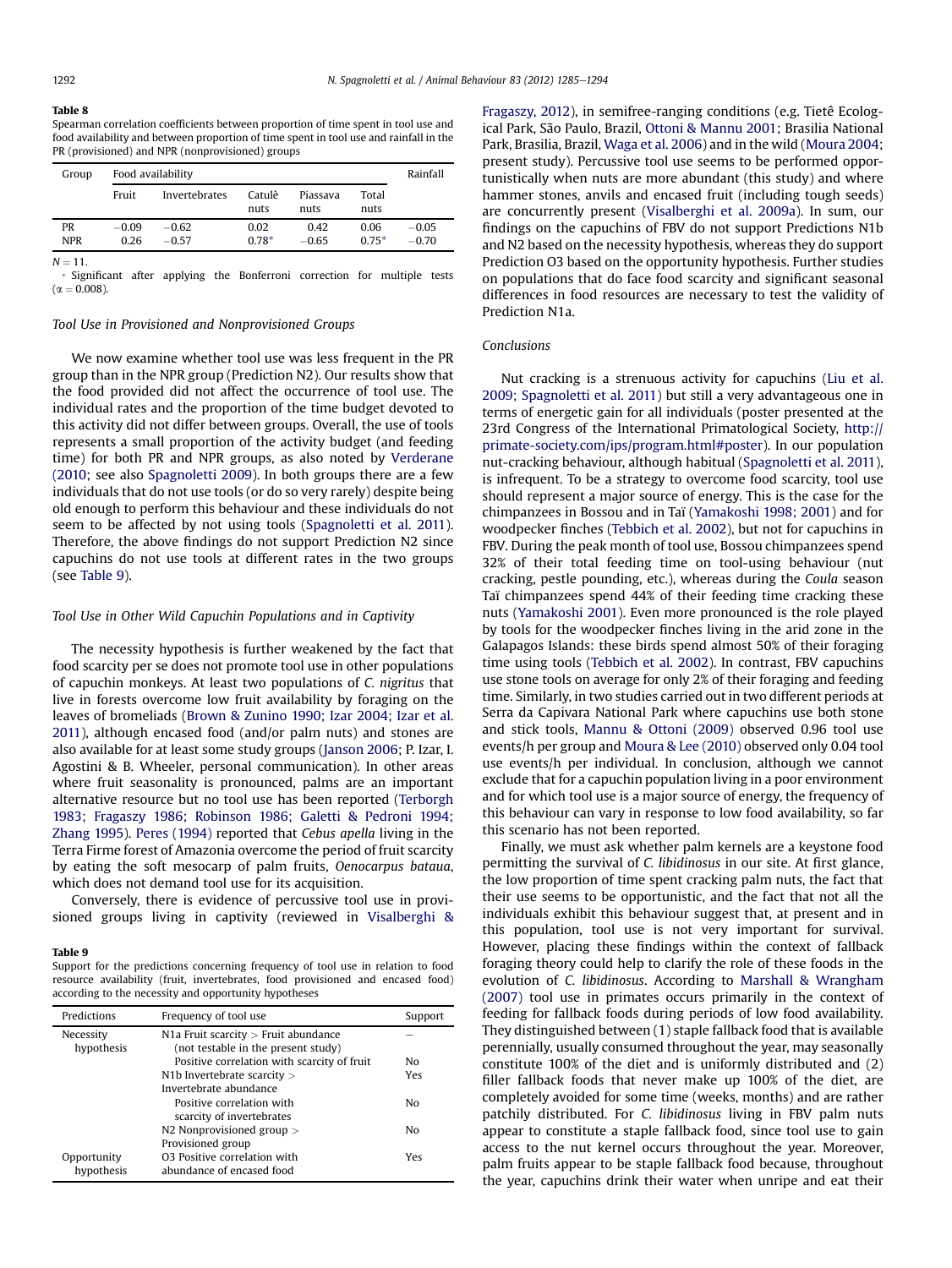#### <span id="page-7-0"></span>Table 8

Spearman correlation coefficients between proportion of time spent in tool use and food availability and between proportion of time spent in tool use and rainfall in the PR (provisioned) and NPR (nonprovisioned) groups

| Group            | Food availability |                    | Rainfall        |                  |                 |                    |
|------------------|-------------------|--------------------|-----------------|------------------|-----------------|--------------------|
|                  | Fruit             | Invertebrates      | Catulè<br>nuts  | Piassava<br>nuts | Total<br>nuts   |                    |
| PR<br><b>NPR</b> | $-0.09$<br>0.26   | $-0.62$<br>$-0.57$ | 0.02<br>$0.78*$ | 0.42<br>$-0.65$  | 0.06<br>$0.75*$ | $-0.05$<br>$-0.70$ |

 $N = 11.$ 

\* Significant after applying the Bonferroni correction for multiple tests  $(\alpha = 0.008)$ .

## Tool Use in Provisioned and Nonprovisioned Groups

We now examine whether tool use was less frequent in the PR group than in the NPR group (Prediction N2). Our results show that the food provided did not affect the occurrence of tool use. The individual rates and the proportion of the time budget devoted to this activity did not differ between groups. Overall, the use of tools represents a small proportion of the activity budget (and feeding time) for both PR and NPR groups, as also noted by [Verderane](#page-9-0) [\(2010](#page-9-0); see also [Spagnoletti 2009\)](#page-9-0). In both groups there are a few individuals that do not use tools (or do so very rarely) despite being old enough to perform this behaviour and these individuals do not seem to be affected by not using tools ([Spagnoletti et al. 2011\)](#page-9-0). Therefore, the above findings do not support Prediction N2 since capuchins do not use tools at different rates in the two groups (see Table 9).

#### Tool Use in Other Wild Capuchin Populations and in Captivity

The necessity hypothesis is further weakened by the fact that food scarcity per se does not promote tool use in other populations of capuchin monkeys. At least two populations of C. nigritus that live in forests overcome low fruit availability by foraging on the leaves of bromeliads ([Brown & Zunino 1990; Izar 2004; Izar et al.](#page-8-0) [2011\)](#page-8-0), although encased food (and/or palm nuts) and stones are also available for at least some study groups ([Janson 2006;](#page-8-0) P. Izar, I. Agostini & B. Wheeler, personal communication). In other areas where fruit seasonality is pronounced, palms are an important alternative resource but no tool use has been reported ([Terborgh](#page-9-0) [1983; Fragaszy 1986; Robinson 1986; Galetti & Pedroni 1994;](#page-9-0) [Zhang 1995](#page-9-0)). [Peres \(1994\)](#page-8-0) reported that Cebus apella living in the Terra Firme forest of Amazonia overcome the period of fruit scarcity by eating the soft mesocarp of palm fruits, Oenocarpus bataua, which does not demand tool use for its acquisition.

Conversely, there is evidence of percussive tool use in provisioned groups living in captivity (reviewed in [Visalberghi &](#page-9-0)

#### Table 9

Support for the predictions concerning frequency of tool use in relation to food resource availability (fruit, invertebrates, food provisioned and encased food) according to the necessity and opportunity hypotheses

| Predictions | Frequency of tool use                       | Support        |
|-------------|---------------------------------------------|----------------|
| Necessity   | N1a Fruit scarcity $>$ Fruit abundance      |                |
| hypothesis  | (not testable in the present study)         |                |
|             | Positive correlation with scarcity of fruit | N <sub>0</sub> |
|             | N1b Invertebrate scarcity $>$               | Yes            |
|             | Invertebrate abundance                      |                |
|             | Positive correlation with                   | N <sub>0</sub> |
|             | scarcity of invertebrates                   |                |
|             | N2 Nonprovisioned group >                   | N <sub>0</sub> |
|             | Provisioned group                           |                |
| Opportunity | 03 Positive correlation with                | Yes            |
| hypothesis  | abundance of encased food                   |                |

[Fragaszy, 2012\)](#page-9-0), in semifree-ranging conditions (e.g. Tietê Ecological Park, São Paulo, Brazil, [Ottoni & Mannu 2001](#page-8-0); Brasilia National Park, Brasilia, Brazil, [Waga et al. 2006](#page-9-0)) and in the wild [\(Moura 2004](#page-8-0); present study). Percussive tool use seems to be performed opportunistically when nuts are more abundant (this study) and where hammer stones, anvils and encased fruit (including tough seeds) are concurrently present ([Visalberghi et al. 2009a](#page-9-0)). In sum, our findings on the capuchins of FBV do not support Predictions N1b and N2 based on the necessity hypothesis, whereas they do support Prediction O3 based on the opportunity hypothesis. Further studies on populations that do face food scarcity and significant seasonal differences in food resources are necessary to test the validity of Prediction N1a.

#### Conclusions

Nut cracking is a strenuous activity for capuchins ([Liu et al.](#page-8-0) [2009; Spagnoletti et al. 2011](#page-8-0)) but still a very advantageous one in terms of energetic gain for all individuals (poster presented at the 23rd Congress of the International Primatological Society, [http://](http://primate-society.com/ips/program.html%23poster) [primate-society.com/ips/program.html#poster](http://primate-society.com/ips/program.html%23poster)). In our population nut-cracking behaviour, although habitual [\(Spagnoletti et al. 2011\)](#page-9-0), is infrequent. To be a strategy to overcome food scarcity, tool use should represent a major source of energy. This is the case for the chimpanzees in Bossou and in Taï [\(Yamakoshi 1998; 2001](#page-9-0)) and for woodpecker finches [\(Tebbich et al. 2002\)](#page-9-0), but not for capuchins in FBV. During the peak month of tool use, Bossou chimpanzees spend 32% of their total feeding time on tool-using behaviour (nut cracking, pestle pounding, etc.), whereas during the Coula season Taï chimpanzees spend 44% of their feeding time cracking these nuts [\(Yamakoshi 2001\)](#page-9-0). Even more pronounced is the role played by tools for the woodpecker finches living in the arid zone in the Galapagos Islands: these birds spend almost 50% of their foraging time using tools [\(Tebbich et al. 2002\)](#page-9-0). In contrast, FBV capuchins use stone tools on average for only 2% of their foraging and feeding time. Similarly, in two studies carried out in two different periods at Serra da Capivara National Park where capuchins use both stone and stick tools, [Mannu & Ottoni \(2009\)](#page-8-0) observed 0.96 tool use events/h per group and [Moura & Lee \(2010\)](#page-8-0) observed only 0.04 tool use events/h per individual. In conclusion, although we cannot exclude that for a capuchin population living in a poor environment and for which tool use is a major source of energy, the frequency of this behaviour can vary in response to low food availability, so far this scenario has not been reported.

Finally, we must ask whether palm kernels are a keystone food permitting the survival of C. libidinosus in our site. At first glance, the low proportion of time spent cracking palm nuts, the fact that their use seems to be opportunistic, and the fact that not all the individuals exhibit this behaviour suggest that, at present and in this population, tool use is not very important for survival. However, placing these findings within the context of fallback foraging theory could help to clarify the role of these foods in the evolution of C. libidinosus. According to [Marshall & Wrangham](#page-8-0) [\(2007\)](#page-8-0) tool use in primates occurs primarily in the context of feeding for fallback foods during periods of low food availability. They distinguished between (1) staple fallback food that is available perennially, usually consumed throughout the year, may seasonally constitute 100% of the diet and is uniformly distributed and (2) filler fallback foods that never make up 100% of the diet, are completely avoided for some time (weeks, months) and are rather patchily distributed. For C. libidinosus living in FBV palm nuts appear to constitute a staple fallback food, since tool use to gain access to the nut kernel occurs throughout the year. Moreover, palm fruits appear to be staple fallback food because, throughout the year, capuchins drink their water when unripe and eat their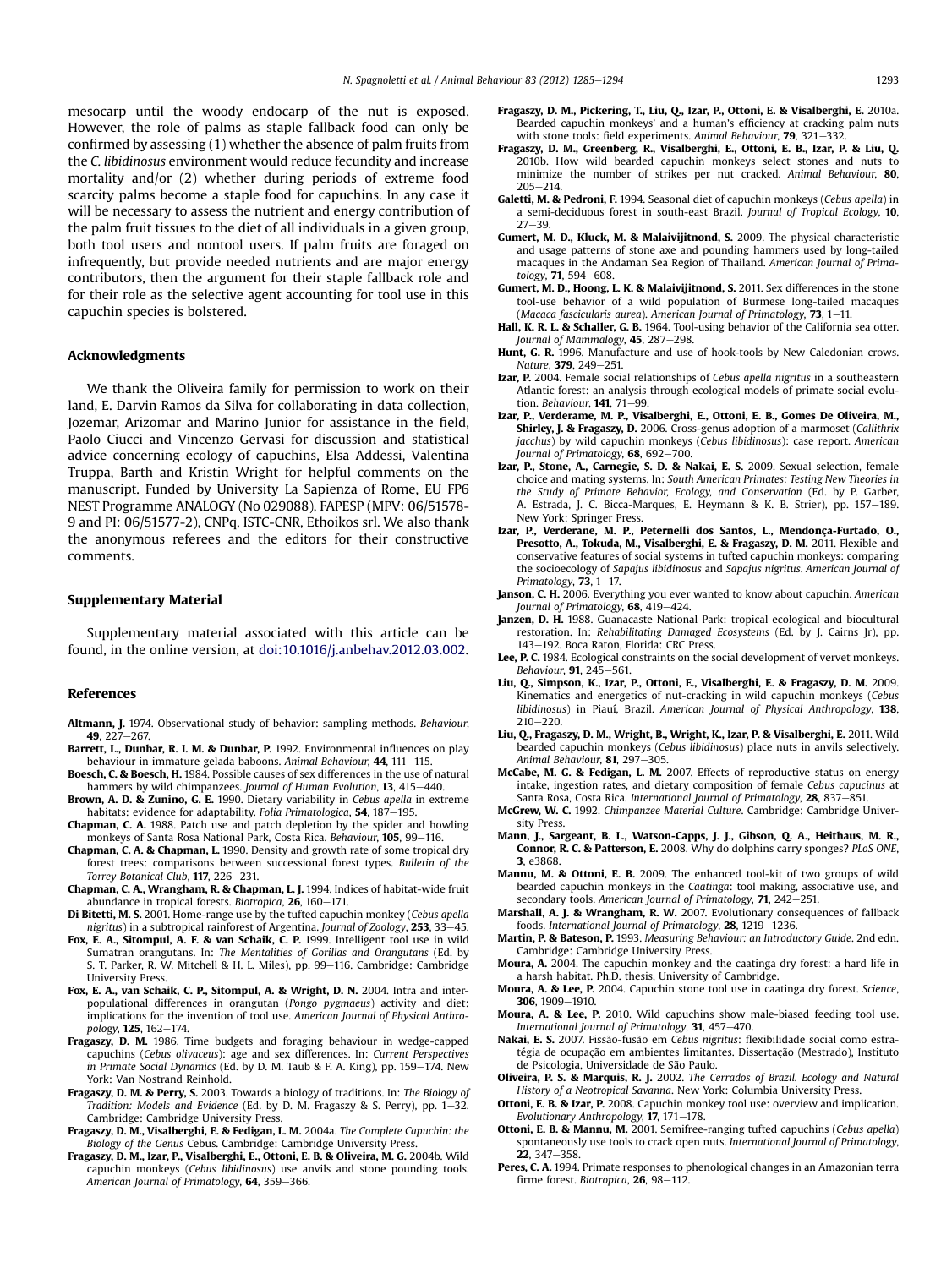<span id="page-8-0"></span>mesocarp until the woody endocarp of the nut is exposed. However, the role of palms as staple fallback food can only be confirmed by assessing (1) whether the absence of palm fruits from the C. libidinosus environment would reduce fecundity and increase mortality and/or (2) whether during periods of extreme food scarcity palms become a staple food for capuchins. In any case it will be necessary to assess the nutrient and energy contribution of the palm fruit tissues to the diet of all individuals in a given group, both tool users and nontool users. If palm fruits are foraged on infrequently, but provide needed nutrients and are major energy contributors, then the argument for their staple fallback role and for their role as the selective agent accounting for tool use in this capuchin species is bolstered.

### Acknowledgments

We thank the Oliveira family for permission to work on their land, E. Darvin Ramos da Silva for collaborating in data collection, Jozemar, Arizomar and Marino Junior for assistance in the field, Paolo Ciucci and Vincenzo Gervasi for discussion and statistical advice concerning ecology of capuchins, Elsa Addessi, Valentina Truppa, Barth and Kristin Wright for helpful comments on the manuscript. Funded by University La Sapienza of Rome, EU FP6 NEST Programme ANALOGY (No 029088), FAPESP (MPV: 06/51578- 9 and PI: 06/51577-2), CNPq, ISTC-CNR, Ethoikos srl. We also thank the anonymous referees and the editors for their constructive comments.

## Supplementary Material

Supplementary material associated with this article can be found, in the online version, at [doi:10.1016/j.anbehav.2012.03.002](http://dx.doi.org/10.1016/j.anbehav.2012.03.002).

## References

- Altmann, J. 1974. Observational study of behavior: sampling methods. Behaviour,  $49$ ,  $227 - 267$
- Barrett, L., Dunbar, R. I. M. & Dunbar, P. 1992. Environmental influences on play behaviour in immature gelada baboons. Animal Behaviour, 44, 111-115
- Boesch, C. & Boesch, H. 1984. Possible causes of sex differences in the use of natural hammers by wild chimpanzees. Journal of Human Evolution, 13, 415–440.<br>Brown, A. D. & Zunino, G. E. 1990. Dietary variability in Cebus apella in extreme
- habitats: evidence for adaptability. Folia Primatologica,  $54$ , 187-195.
- Chapman, C. A. 1988. Patch use and patch depletion by the spider and howling monkeys of Santa Rosa National Park, Costa Rica. Behaviour, 105, 99-116.
- Chapman, C. A. & Chapman, L. 1990. Density and growth rate of some tropical dry forest trees: comparisons between successional forest types. Bulletin of the Torrey Botanical Club, 117, 226-231.
- Chapman, C. A., Wrangham, R. & Chapman, L. J. 1994. Indices of habitat-wide fruit abundance in tropical forests. Biotropica,  $26$ ,  $160-171$ .
- **Di Bitetti, M. S.** 2001. Home-range use by the tufted capuchin monkey (*Cebus apella nigritus*) in a subtropical rainforest of Argentina. Journal of Zoology, **253**, 33–45.
- Fox, E. A., Sitompul, A. F. & van Schaik, C. P. 1999. Intelligent tool use in wild Sumatran orangutans. In: The Mentalities of Gorillas and Orangutans (Ed. by S. T. Parker, R. W. Mitchell & H. L. Miles), pp. 99-116. Cambridge: Cambridge University Press.
- Fox, E. A., van Schaik, C. P., Sitompul, A. & Wright, D. N. 2004. Intra and interpopulational differences in orangutan (Pongo pygmaeus) activity and diet: implications for the invention of tool use. American Journal of Physical Anthropology, 125, 162-174.
- Fragaszy, D. M. 1986. Time budgets and foraging behaviour in wedge-capped capuchins (Cebus olivaceus): age and sex differences. In: Current Perspectives in Primate Social Dynamics (Ed. by D. M. Taub & F. A. King), pp. 159-174. New York: Van Nostrand Reinhold.
- Fragaszy, D. M. & Perry, S. 2003. Towards a biology of traditions. In: The Biology of Tradition: Models and Evidence (Ed. by D. M. Fragaszy & S. Perry), pp. 1-32. Cambridge: Cambridge University Press.
- Fragaszy, D. M., Visalberghi, E. & Fedigan, L. M. 2004a. The Complete Capuchin: the Biology of the Genus Cebus. Cambridge: Cambridge University Press.
- Fragaszy, D. M., Izar, P., Visalberghi, E., Ottoni, E. B. & Oliveira, M. G. 2004b. Wild capuchin monkeys (Cebus libidinosus) use anvils and stone pounding tools. American Journal of Primatology, 64, 359-366.
- Fragaszy, D. M., Pickering, T., Liu, Q., Izar, P., Ottoni, E. & Visalberghi, E. 2010a. Bearded capuchin monkeys' and a human's efficiency at cracking palm nuts with stone tools: field experiments. Animal Behaviour,  $79.321 - 332$
- Fragaszy, D. M., Greenberg, R., Visalberghi, E., Ottoni, E. B., Izar, P. & Liu, Q. 2010b. How wild bearded capuchin monkeys select stones and nuts to minimize the number of strikes per nut cracked. Animal Behaviour, 80,  $205 - 214.$
- Galetti, M. & Pedroni, F. 1994. Seasonal diet of capuchin monkeys (Cebus apella) in a semi-deciduous forest in south-east Brazil. Journal of Tropical Ecology 10,  $27 - 39$
- Gumert, M. D., Kluck, M. & Malaivijitnond, S. 2009. The physical characteristic and usage patterns of stone axe and pounding hammers used by long-tailed macaques in the Andaman Sea Region of Thailand. American Journal of Prima $toloev$  71, 594-608.
- Gumert, M. D., Hoong, L. K. & Malaivijitnond, S. 2011. Sex differences in the stone tool-use behavior of a wild population of Burmese long-tailed macaques (Macaca fascicularis aurea). American Journal of Primatology, **73**, 1–11.
- Hall, K. R. L. & Schaller, G. B. 1964. Tool-using behavior of the California sea otter. Journal of Mammalogy, 45, 287-298.
- Hunt, G. R. 1996. Manufacture and use of hook-tools by New Caledonian crows. Nature, 379, 249-251.
- Izar, P. 2004. Female social relationships of Cebus apella nigritus in a southeastern Atlantic forest: an analysis through ecological models of primate social evolution. Behaviour,  $141$ ,  $71-99$ .
- Izar, P., Verderame, M. P., Visalberghi, E., Ottoni, E. B., Gomes De Oliveira, M., Shirley, J. & Fragaszy, D. 2006. Cross-genus adoption of a marmoset (Callithrix jacchus) by wild capuchin monkeys (Cebus libidinosus): case report. American Journal of Primatology,  $68.692-700$ .
- Izar, P., Stone, A., Carnegie, S. D. & Nakai, E. S. 2009. Sexual selection, female choice and mating systems. In: South American Primates: Testing New Theories in the Study of Primate Behavior, Ecology, and Conservation (Ed. by P. Garber, A. Estrada, J. C. Bicca-Marques, E. Heymann & K. B. Strier), pp. 157-189. New York: Springer Press.
- Izar, P., Verderane, M. P., Peternelli dos Santos, L., Mendonça-Furtado, O., Presotto, A., Tokuda, M., Visalberghi, E. & Fragaszy, D. M. 2011. Flexible and conservative features of social systems in tufted capuchin monkeys: comparing the socioecology of Sapajus libidinosus and Sapajus nigritus. American Journal of Primatology,  $73$ ,  $1-17$ .
- Janson, C. H. 2006. Everything you ever wanted to know about capuchin. American Journal of Primatology, 68, 419-424.
- Janzen, D. H. 1988. Guanacaste National Park: tropical ecological and biocultural restoration. In: Rehabilitating Damaged Ecosystems (Ed. by J. Cairns Jr), pp. 143-192. Boca Raton, Florida: CRC Press.
- Lee, P. C. 1984. Ecological constraints on the social development of vervet monkeys. Behaviour,  $91, 245 - 561.$
- Liu, Q., Simpson, K., Izar, P., Ottoni, E., Visalberghi, E. & Fragaszy, D. M. 2009. Kinematics and energetics of nut-cracking in wild capuchin monkeys (Cebus libidinosus) in Piauí, Brazil. American Journal of Physical Anthropology, 138,  $210 - 220$ .
- Liu, Q., Fragaszy, D. M., Wright, B., Wright, K., Izar, P. & Visalberghi, E. 2011. Wild bearded capuchin monkeys (Cebus libidinosus) place nuts in anvils selectively. Animal Behaviour, 81, 297-305.
- McCabe, M. G. & Fedigan, L. M. 2007. Effects of reproductive status on energy intake, ingestion rates, and dietary composition of female Cebus capucinus at Santa Rosa, Costa Rica. International Journal of Primatology, 28, 837-851.
- McGrew, W. C. 1992. Chimpanzee Material Culture. Cambridge: Cambridge University Press.
- Mann, J., Sargeant, B. L., Watson-Capps, J. J., Gibson, Q. A., Heithaus, M. R., Connor, R. C. & Patterson, E. 2008. Why do dolphins carry sponges? PLoS ONE, 3, e3868.
- Mannu, M. & Ottoni, E. B. 2009. The enhanced tool-kit of two groups of wild bearded capuchin monkeys in the Caatinga: tool making, associative use, and secondary tools. American Journal of Primatology, 71, 242-251.
- Marshall, A. J. & Wrangham, R. W. 2007. Evolutionary consequences of fallback foods. International Journal of Primatology, 28, 1219-1236.
- Martin, P. & Bateson, P. 1993. Measuring Behaviour: an Introductory Guide. 2nd edn. Cambridge: Cambridge University Press.
- Moura, A. 2004. The capuchin monkey and the caatinga dry forest: a hard life in a harsh habitat. Ph.D. thesis, University of Cambridge.
- Moura, A. & Lee, P. 2004. Capuchin stone tool use in caatinga dry forest. Science, 306, 1909-1910.
- Moura, A. & Lee, P. 2010. Wild capuchins show male-biased feeding tool use. International Journal of Primatology, 31, 457-470.
- Nakai, E. S. 2007. Fissão-fusão em Cebus nigritus: flexibilidade social como estratégia de ocupação em ambientes limitantes. Dissertação (Mestrado), Instituto de Psicologia, Universidade de São Paulo.
- Oliveira, P. S. & Marquis, R. J. 2002. The Cerrados of Brazil. Ecology and Natural History of a Neotropical Savanna. New York: Columbia University Press.
- Ottoni, E. B. & Izar, P. 2008. Capuchin monkey tool use: overview and implication. Evolutionary Anthropology, 17, 171-178.
- Ottoni, E. B. & Mannu, M. 2001. Semifree-ranging tufted capuchins (Cebus apella) spontaneously use tools to crack open nuts. International Journal of Primatology,  $22.347 - 358.$
- Peres, C. A. 1994. Primate responses to phenological changes in an Amazonian terra firme forest. Biotropica,  $26$ ,  $98-112$ .